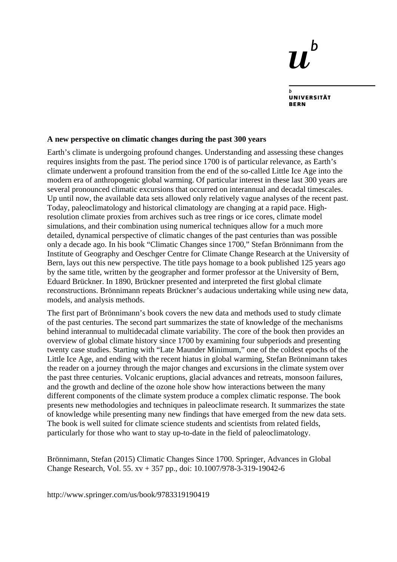## h TJ,

**UNIVERSITÄT RERN** 

## **A new perspective on climatic changes during the past 300 years**

Earth's climate is undergoing profound changes. Understanding and assessing these changes requires insights from the past. The period since 1700 is of particular relevance, as Earth's climate underwent a profound transition from the end of the so-called Little Ice Age into the modern era of anthropogenic global warming. Of particular interest in these last 300 years are several pronounced climatic excursions that occurred on interannual and decadal timescales. Up until now, the available data sets allowed only relatively vague analyses of the recent past. Today, paleoclimatology and historical climatology are changing at a rapid pace. Highresolution climate proxies from archives such as tree rings or ice cores, climate model simulations, and their combination using numerical techniques allow for a much more detailed, dynamical perspective of climatic changes of the past centuries than was possible only a decade ago. In his book "Climatic Changes since 1700," Stefan Brönnimann from the Institute of Geography and Oeschger Centre for Climate Change Research at the University of Bern, lays out this new perspective. The title pays homage to a book published 125 years ago by the same title, written by the geographer and former professor at the University of Bern, Eduard Brückner. In 1890, Brückner presented and interpreted the first global climate reconstructions. Brönnimann repeats Brückner's audacious undertaking while using new data, models, and analysis methods.

The first part of Brönnimann's book covers the new data and methods used to study climate of the past centuries. The second part summarizes the state of knowledge of the mechanisms behind interannual to multidecadal climate variability. The core of the book then provides an overview of global climate history since 1700 by examining four subperiods and presenting twenty case studies. Starting with "Late Maunder Minimum," one of the coldest epochs of the Little Ice Age, and ending with the recent hiatus in global warming, Stefan Brönnimann takes the reader on a journey through the major changes and excursions in the climate system over the past three centuries. Volcanic eruptions, glacial advances and retreats, monsoon failures, and the growth and decline of the ozone hole show how interactions between the many different components of the climate system produce a complex climatic response. The book presents new methodologies and techniques in paleoclimate research. It summarizes the state of knowledge while presenting many new findings that have emerged from the new data sets. The book is well suited for climate science students and scientists from related fields, particularly for those who want to stay up-to-date in the field of paleoclimatology.

Brönnimann, Stefan (2015) Climatic Changes Since 1700. Springer, Advances in Global Change Research, Vol. 55. xv + 357 pp., doi: 10.1007/978-3-319-19042-6

http://www.springer.com/us/book/9783319190419